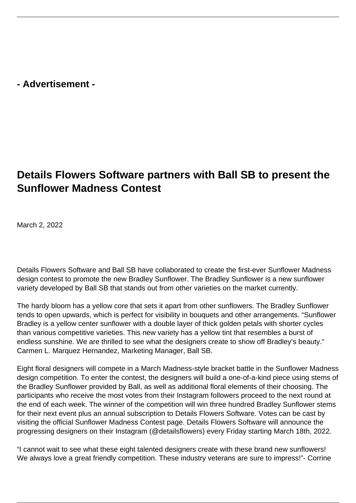**- Advertisement -**

# **Details Flowers Software partners with Ball SB to present the Sunflower Madness Contest**

March 2, 2022

Details Flowers Software and Ball SB have collaborated to create the first-ever Sunflower Madness design contest to promote the new Bradley Sunflower. The Bradley Sunflower is a new sunflower variety developed by Ball SB that stands out from other varieties on the market currently.

The hardy bloom has a yellow core that sets it apart from other sunflowers. The Bradley Sunflower tends to open upwards, which is perfect for visibility in bouquets and other arrangements. "Sunflower Bradley is a yellow center sunflower with a double layer of thick golden petals with shorter cycles than various competitive varieties. This new variety has a yellow tint that resembles a burst of endless sunshine. We are thrilled to see what the designers create to show off Bradley's beauty." Carmen L. Marquez Hernandez, Marketing Manager, Ball SB.

Eight floral designers will compete in a March Madness-style bracket battle in the Sunflower Madness design competition. To enter the contest, the designers will build a one-of-a-kind piece using stems of the Bradley Sunflower provided by Ball, as well as additional floral elements of their choosing. The participants who receive the most votes from their Instagram followers proceed to the next round at the end of each week. The winner of the competition will win three hundred Bradley Sunflower stems for their next event plus an annual subscription to Details Flowers Software. Votes can be cast by visiting the official Sunflower Madness Contest page. Details Flowers Software will announce the progressing designers on their Instagram (@detailsflowers) every Friday starting March 18th, 2022.

"I cannot wait to see what these eight talented designers create with these brand new sunflowers! We always love a great friendly competition. These industry veterans are sure to impress!"- Corrine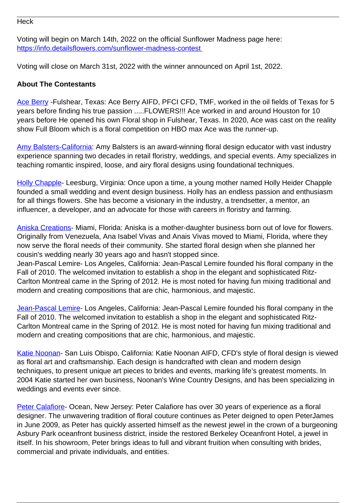#### **Heck**

Voting will begin on March 14th, 2022 on the official Sunflower Madness page here: [https://info.detailsflowers.com/sunflower-madness-contest](https://info.detailsflowers.com/sunflower-madness-contest ) 

Voting will close on March 31st, 2022 with the winner announced on April 1st, 2022.

### **About The Contestants**

[Ace Berry](https://www.instagram.com/aceberryaifd/) - Fulshear, Texas: Ace Berry AIFD, PFCI CFD, TMF, worked in the oil fields of Texas for 5 years before finding his true passion .....FLOWERS!!! Ace worked in and around Houston for 10 years before He opened his own Floral shop in Fulshear, Texas. In 2020, Ace was cast on the reality show Full Bloom which is a floral competition on HBO max Ace was the runner-up.

[Amy Balsters-California:](https://www.instagram.com/thefloralcoach_/) Amy Balsters is an award-winning floral design educator with vast industry experience spanning two decades in retail floristry, weddings, and special events. Amy specializes in teaching romantic inspired, loose, and airy floral designs using foundational techniques.

[Holly Chapple](https://www.instagram.com/accounts/login/?next=/hollychapple/)- Leesburg, Virginia: Once upon a time, a young mother named Holly Heider Chapple founded a small wedding and event design business. Holly has an endless passion and enthusiasm for all things flowers. She has become a visionary in the industry, a trendsetter, a mentor, an influencer, a developer, and an advocate for those with careers in floristry and farming.

[Aniska Creations](https://www.instagram.com/accounts/login/?next=/aniskacreations/)- Miami, Florida: Aniska is a mother-daughter business born out of love for flowers. Originally from Venezuela, Ana Isabel Vivas and Anais Vivas moved to Miami, Florida, where they now serve the floral needs of their community. She started floral design when she planned her cousin's wedding nearly 30 years ago and hasn't stopped since.

Jean-Pascal Lemire- Los Angeles, California: Jean-Pascal Lemire founded his floral company in the Fall of 2010. The welcomed invitation to establish a shop in the elegant and sophisticated Ritz-Carlton Montreal came in the Spring of 2012. He is most noted for having fun mixing traditional and modern and creating compositions that are chic, harmonious, and majestic.

[Jean-Pascal Lemire](https://www.instagram.com/accounts/login/?next=/jeanpascalflorist/)- Los Angeles, California: Jean-Pascal Lemire founded his floral company in the Fall of 2010. The welcomed invitation to establish a shop in the elegant and sophisticated Ritz-Carlton Montreal came in the Spring of 2012. He is most noted for having fun mixing traditional and modern and creating compositions that are chic, harmonious, and majestic.

[Katie Noonan](https://www.instagram.com/accounts/login/?next=/noonansdesigns/)- San Luis Obispo, California: Katie Noonan AIFD, CFD's style of floral design is viewed as floral art and craftsmanship. Each design is handcrafted with clean and modern design techniques, to present unique art pieces to brides and events, marking life's greatest moments. In 2004 Katie started her own business, Noonan's Wine Country Designs, and has been specializing in weddings and events ever since.

[Peter Calafiore](https://www.instagram.com/accounts/login/?next=/peterjamesfloral/)- Ocean, New Jersey: Peter Calafiore has over 30 years of experience as a floral designer. The unwavering tradition of floral couture continues as Peter deigned to open PeterJames in June 2009, as Peter has quickly asserted himself as the newest jewel in the crown of a burgeoning Asbury Park oceanfront business district, inside the restored Berkeley Oceanfront Hotel, a jewel in itself. In his showroom, Peter brings ideas to full and vibrant fruition when consulting with brides, commercial and private individuals, and entities.